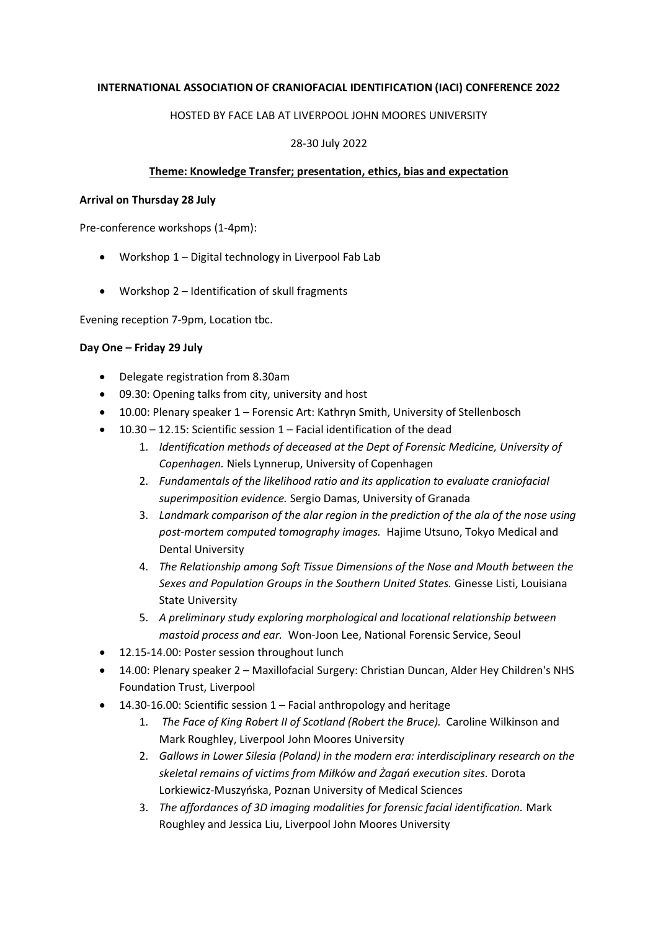### **INTERNATIONAL ASSOCIATION OF CRANIOFACIAL IDENTIFICATION (IACI) CONFERENCE 2022**

## HOSTED BY FACE LAB AT LIVERPOOL JOHN MOORES UNIVERSITY

# 28-30 July 2022

## **Theme: Knowledge Transfer; presentation, ethics, bias and expectation**

#### **Arrival on Thursday 28 July**

Pre-conference workshops (1-4pm):

- Workshop 1 Digital technology in Liverpool Fab Lab
- Workshop 2 Identification of skull fragments

Evening reception 7-9pm, Location tbc.

### **Day One – Friday 29 July**

- Delegate registration from 8.30am
- 09.30: Opening talks from city, university and host
- 10.00: Plenary speaker 1 Forensic Art: Kathryn Smith, University of Stellenbosch
- 10.30 12.15: Scientific session 1 Facial identification of the dead
	- 1. *Identification methods of deceased at the Dept of Forensic Medicine, University of Copenhagen.* Niels Lynnerup, University of Copenhagen
	- 2. *Fundamentals of the likelihood ratio and its application to evaluate craniofacial superimposition evidence.* Sergio Damas, University of Granada
	- 3. *Landmark comparison of the alar region in the prediction of the ala of the nose using post-mortem computed tomography images.* Hajime Utsuno, Tokyo Medical and Dental University
	- 4. *The Relationship among Soft Tissue Dimensions of the Nose and Mouth between the Sexes and Population Groups in the Southern United States.* Ginesse Listi, Louisiana State University
	- 5. *A preliminary study exploring morphological and locational relationship between mastoid process and ear.* Won-Joon Lee, National Forensic Service, Seoul
- 12.15-14.00: Poster session throughout lunch
- 14.00: Plenary speaker 2 Maxillofacial Surgery: Christian Duncan, Alder Hey Children's NHS Foundation Trust, Liverpool
- 14.30-16.00: Scientific session 1 Facial anthropology and heritage
	- 1. *The Face of King Robert II of Scotland (Robert the Bruce).* Caroline Wilkinson and Mark Roughley, Liverpool John Moores University
	- 2. *Gallows in Lower Silesia (Poland) in the modern era: interdisciplinary research on the skeletal remains of victims from Miłków and Żagań execution sites.* Dorota Lorkiewicz-Muszyńska, Poznan University of Medical Sciences
	- 3. *The affordances of 3D imaging modalities for forensic facial identification.* Mark Roughley and Jessica Liu, Liverpool John Moores University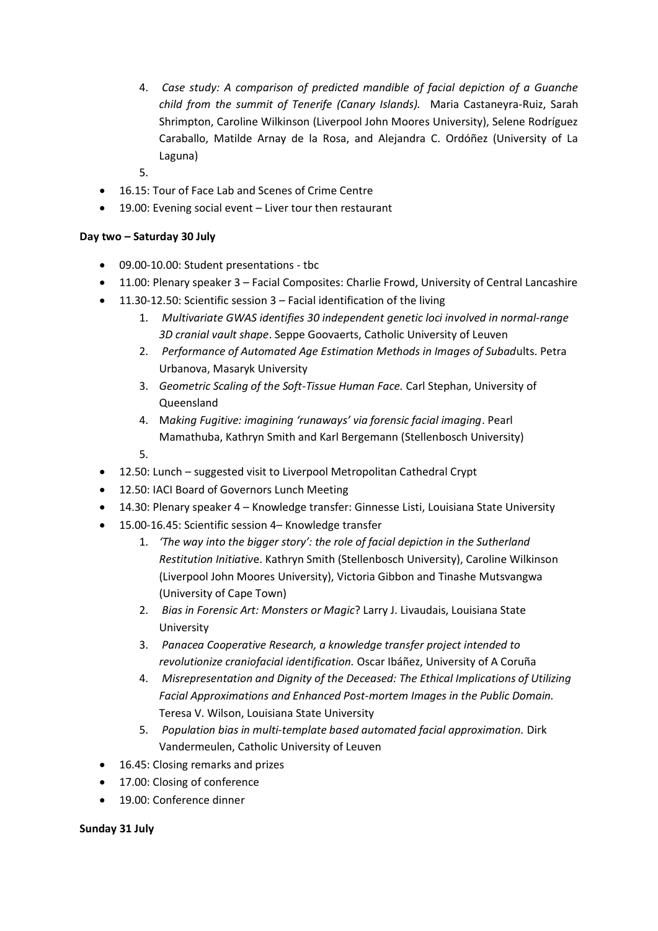- 4. *Case study: A comparison of predicted mandible of facial depiction of a Guanche child from the summit of Tenerife (Canary Islands).* Maria Castaneyra-Ruiz, Sarah Shrimpton, Caroline Wilkinson (Liverpool John Moores University), Selene Rodríguez Caraballo, Matilde Arnay de la Rosa, and Alejandra C. Ordóñez (University of La Laguna)
- 5.
- 16.15: Tour of Face Lab and Scenes of Crime Centre
- 19.00: Evening social event Liver tour then restaurant

# **Day two – Saturday 30 July**

- 09.00-10.00: Student presentations tbc
- 11.00: Plenary speaker 3 Facial Composites: Charlie Frowd, University of Central Lancashire
- 11.30-12.50: Scientific session 3 Facial identification of the living
	- 1. *Multivariate GWAS identifies 30 independent genetic loci involved in normal-range 3D cranial vault shape*. Seppe Goovaerts, Catholic University of Leuven
	- 2. *Performance of Automated Age Estimation Methods in Images of Subad*ults. Petra Urbanova, Masaryk University
	- 3. *Geometric Scaling of the Soft-Tissue Human Face.* Carl Stephan, University of Queensland
	- 4. M*aking Fugitive: imagining 'runaways' via forensic facial imaging*. Pearl Mamathuba, Kathryn Smith and Karl Bergemann (Stellenbosch University)
	- 5.
- 12.50: Lunch suggested visit to Liverpool Metropolitan Cathedral Crypt
- 12.50: IACI Board of Governors Lunch Meeting
- 14.30: Plenary speaker 4 Knowledge transfer: Ginnesse Listi, Louisiana State University
- 15.00-16.45: Scientific session 4– Knowledge transfer
	- 1. *'The way into the bigger story': the role of facial depiction in the Sutherland Restitution Initiativ*e. Kathryn Smith (Stellenbosch University), Caroline Wilkinson (Liverpool John Moores University), Victoria Gibbon and Tinashe Mutsvangwa (University of Cape Town)
	- 2. *Bias in Forensic Art: Monsters or Magic*? Larry J. Livaudais, Louisiana State University
	- 3. *Panacea Cooperative Research, a knowledge transfer project intended to revolutionize craniofacial identification.* Oscar Ibáñez, University of A Coruña
	- 4. *Misrepresentation and Dignity of the Deceased: The Ethical Implications of Utilizing Facial Approximations and Enhanced Post-mortem Images in the Public Domain.*  Teresa V. Wilson, Louisiana State University
	- 5. *Population bias in multi-template based automated facial approximation.* Dirk Vandermeulen, Catholic University of Leuven
- 16.45: Closing remarks and prizes
- 17.00: Closing of conference
- 19.00: Conference dinner

#### **Sunday 31 July**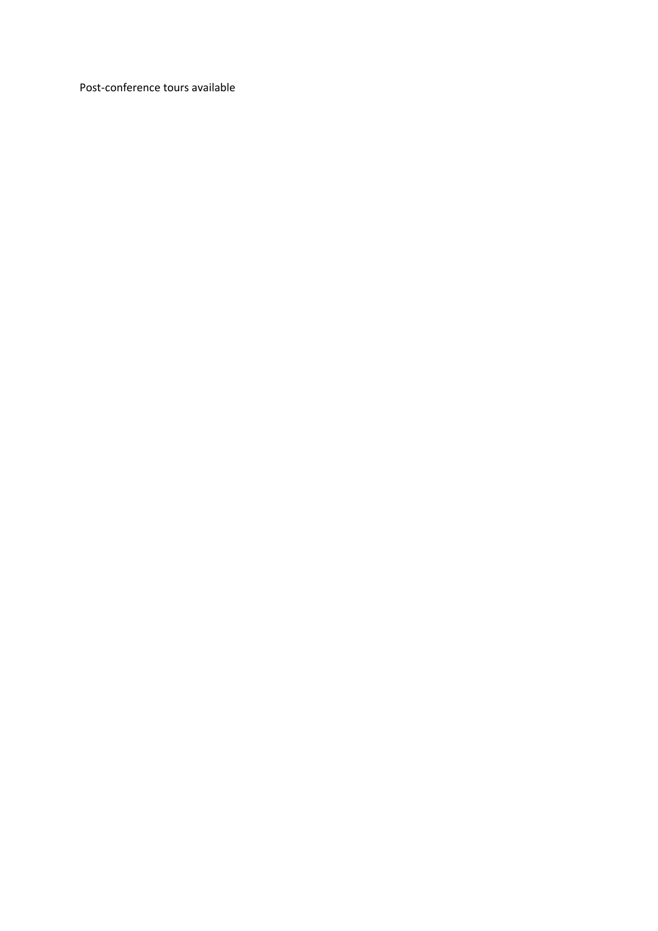Post-conference tours available